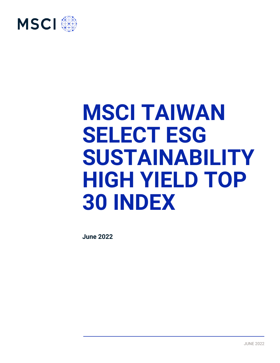

# **MSCI TAIWAN SELECT ESG SUSTAINABILITY HIGH YIELD TOP 30 INDEX**

**June 2022**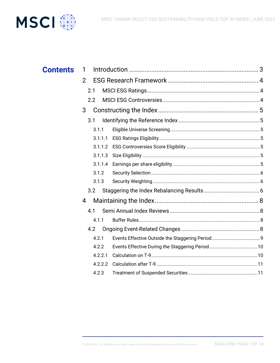

| <b>Contents</b> | 1              |         |  |
|-----------------|----------------|---------|--|
|                 | $\overline{2}$ |         |  |
|                 |                | 2.1     |  |
|                 |                | 2.2     |  |
|                 | 3              |         |  |
|                 |                | 3.1     |  |
|                 |                | 3.1.1   |  |
|                 |                | 3.1.1.1 |  |
|                 |                | 3.1.1.2 |  |
|                 |                | 3.1.1.3 |  |
|                 |                | 3.1.1.4 |  |
|                 |                | 3.1.2   |  |
|                 |                | 3.1.3   |  |
|                 |                | 3.2     |  |
|                 | 4              |         |  |
|                 |                | 4.1     |  |
|                 |                | 4.1.1   |  |
|                 |                | 4.2     |  |
|                 |                | 4.2.1   |  |
|                 |                | 4.2.2   |  |
|                 |                | 4.2.2.1 |  |
|                 |                | 4.2.2.2 |  |
|                 |                | 4.2.3   |  |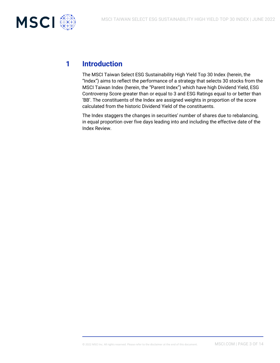

# **1 Introduction**

The MSCI Taiwan Select ESG Sustainability High Yield Top 30 Index (herein, the "Index") aims to reflect the performance of a strategy that selects 30 stocks from the MSCI Taiwan Index (herein, the "Parent Index") which have high Dividend Yield, ESG Controversy Score greater than or equal to 3 and ESG Ratings equal to or better than 'BB'. The constituents of the Index are assigned weights in proportion of the score calculated from the historic Dividend Yield of the constituents.

The Index staggers the changes in securities' number of shares due to rebalancing, in equal proportion over five days leading into and including the effective date of the Index Review.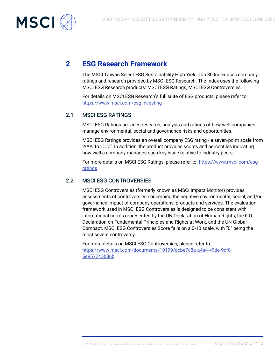

# **2 ESG Research Framework**

The MSCI Taiwan Select ESG Sustainability High Yield Top 30 Index uses company ratings and research provided by MSCI ESG Research. The Index uses the following MSCI ESG Research products: MSCI ESG Ratings, MSCI ESG Controversies.

For details on MSCI ESG Research's full suite of ESG products, please refer to: <https://www.msci.com/esg-investing>

#### 2.1 MSCI ESG RATINGS

MSCI ESG Ratings provides research, analysis and ratings of how well companies manage environmental, social and governance risks and opportunities.

MSCI ESG Ratings provides an overall company ESG rating - a seven-point scale from 'AAA' to 'CCC'. In addition, the product provides scores and percentiles indicating how well a company manages each key issue relative to industry peers.

For more details on MSCI ESG Ratings, please refer to: [https://www.msci.com/esg](https://www.msci.com/esg-ratings)[ratings](https://www.msci.com/esg-ratings)

#### 2.2 MSCI ESG CONTROVERSIES

MSCI ESG Controversies (formerly known as MSCI Impact Monitor) provides assessments of controversies concerning the negative environmental, social, and/or governance impact of company operations, products and services. The evaluation framework used in MSCI ESG Controversies is designed to be consistent with international norms represented by the UN Declaration of Human Rights, the ILO Declaration on Fundamental Principles and Rights at Work, and the UN Global Compact. MSCI ESG Controversies Score falls on a 0-10 scale, with "0" being the most severe controversy.

For more details on MSCI ESG Controversies, please refer to: [https://www.msci.com/documents/10199/acbe7c8a-a4e4-49de-9cf8-](https://www.msci.com/documents/10199/acbe7c8a-a4e4-49de-9cf8-5e957245b86b) [5e957245b86b](https://www.msci.com/documents/10199/acbe7c8a-a4e4-49de-9cf8-5e957245b86b)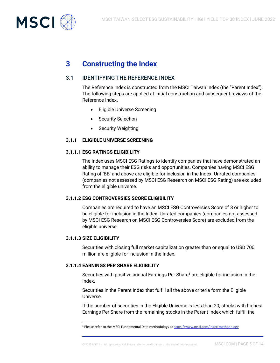

# **3 Constructing the Index**

### 3.1 IDENTIFYING THE REFERENCE INDEX

The Reference Index is constructed from the MSCI Taiwan Index (the "Parent Index"). The following steps are applied at initial construction and subsequent reviews of the Reference Index.

- Eligible Universe Screening
- Security Selection
- **Security Weighting**

#### **3.1.1 ELIGIBLE UNIVERSE SCREENING**

#### **3.1.1.1 ESG RATINGS ELIGIBILITY**

The Index uses MSCI ESG Ratings to identify companies that have demonstrated an ability to manage their ESG risks and opportunities. Companies having MSCI ESG Rating of 'BB' and above are eligible for inclusion in the Index. Unrated companies (companies not assessed by MSCI ESG Research on MSCI ESG Rating) are excluded from the eligible universe.

#### **3.1.1.2 ESG CONTROVERSIES SCORE ELIGIBILITY**

Companies are required to have an MSCI ESG Controversies Score of 3 or higher to be eligible for inclusion in the Index. Unrated companies (companies not assessed by MSCI ESG Research on MSCI ESG Controversies Score) are excluded from the eligible universe.

#### **3.1.1.3 SIZE ELIGIBILITY**

Securities with closing full market capitalization greater than or equal to USD 700 million are eligible for inclusion in the Index.

#### **3.1.1.4 EARNINGS PER SHARE ELIGIBILITY**

Securities with positive annual Earnings Per Share<sup>1</sup> are eligible for inclusion in the Index.

Securities in the Parent Index that fulfill all the above criteria form the Eligible Universe.

If the number of securities in the Eligible Universe is less than 20, stocks with highest Earnings Per Share from the remaining stocks in the Parent Index which fulfill the

<sup>1</sup> Please refer to the MSCI Fundamental Data methodology a[t https://www.msci.com/index-methodology](https://www.msci.com/index-methodology)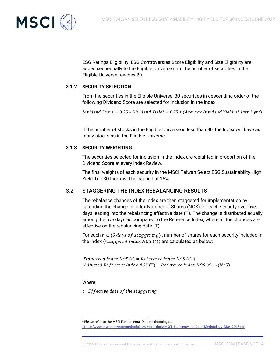

ESG Ratings Eligibility, ESG Controversies Score Eligibility and Size Eligibility are added sequentially to the Eligible Universe until the number of securities in the Eligible Universe reaches 20.

#### **3.1.2 SECURITY SELECTION**

From the securities in the Eligible Universe, 30 securities in descending order of the following Dividend Score are selected for inclusion in the Index.

Dividend Score =  $0.25 * Dividend$  Yield<sup>2</sup> +  $0.75 *$  (Average Dividend Yield of last 3 yrs)

If the number of stocks in the Eligible Universe is less than 30, the Index will have as many stocks as in the Eligible Universe.

#### **3.1.3 SECURITY WEIGHTING**

The securities selected for inclusion in the Index are weighted in proportion of the Dividend Score at every Index Review.

The final weights of each security in the MSCI Taiwan Select ESG Sustainability High Yield Top 30 Index will be capped at 15%.

#### 3.2 STAGGERING THE INDEX REBALANCING RESULTS

The rebalance changes of the Index are then staggered for implementation by spreading the change in Index Number of Shares (NOS) for each security over five days leading into the rebalancing effective date (T). The change is distributed equally among the five days as compared to the Reference Index, where all the changes are effective on the rebalancing date (T).

For each  $t \in \{5 \ days \ of \ staggering\}$ , number of shares for each security included in the Index (Staggered Index NOS  $(t)$ ) are calculated as below:

Staggered Index NOS  $(t)$  = Reference Index NOS  $(t)$  + [Adjusted Reference Index NOS  $(T)$  – Reference Index NOS  $(t)$ ]  $*(N/5)$ 

Where:

 $t:$  *Effective date of the staggering* 

[https://www.msci.com/eqb/methodology/meth\\_docs/MSCI\\_Fundamental\\_Data\\_Methdology\\_Mar\\_2018.pdf](https://www.msci.com/eqb/methodology/meth_docs/MSCI_Fundamental_Data_Methdology_Mar_2018.pdf)

<sup>2</sup> Please refer to the MSCI Fundamental Data methodology at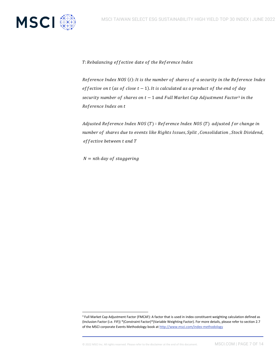

T: Rebalancing effective date of the Reference Index

Reference Index NOS  $(t)$ : It is the number of shares of a security in the Reference Index effective on t (as of close  $t - 1$ ). It is calculated as a product of the end of day security number of shares on  $t-1$  and Full Market Cap Adjustment Factor<sup>3</sup> in the Reference Index on t

Adjusted Reference Index NOS  $(T)$ : Reference Index NOS  $(T)$  adjusted for change in number of shares due to events like Rights Issues, Split, Consolidation, Stock Dividend, effective between t and T

 $N = nth$  day of staggering

© 2022 MSCI Inc. All rights reserved. Please refer to the disclaimer at the end of this document. MSCI.COM | PAGE 7 OF 14

<sup>&</sup>lt;sup>3</sup> Full Market Cap Adjustment Factor (FMCAF): A factor that is used in index constituent weighting calculation defined as (Inclusion Factor (i.e. FIF)) \*(Constraint Factor)\*(Variable Weighting Factor). For more details, please refer to section 2.7 of the MSCI corporate Events Methodology book a[t http://www.msci.com/index-methodology](http://www.msci.com/index-methodology)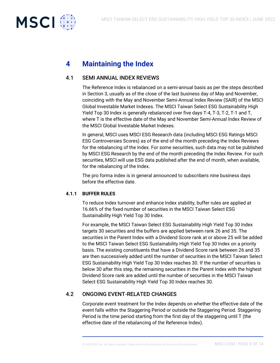

# **4 Maintaining the Index**

#### 4.1 SEMI ANNUAL INDEX REVIEWS

The Reference Index is rebalanced on a semi-annual basis as per the steps described in Section 3, usually as of the close of the last business day of May and November, coinciding with the May and November Semi-Annual Index Review (SAIR) of the MSCI Global Investable Market Indexes. The MSCI Taiwan Select ESG Sustainability High Yield Top 30 Index is generally rebalanced over five days T-4, T-3, T-2, T-1 and T, where T is the effective date of the May and November Semi-Annual Index Review of the MSCI Global Investable Market Indexes.

In general, MSCI uses MSCI ESG Research data (including MSCI ESG Ratings MSCI ESG Controversies Scores) as of the end of the month preceding the Index Reviews for the rebalancing of the Index. For some securities, such data may not be published by MSCI ESG Research by the end of the month preceding the Index Review. For such securities, MSCI will use ESG data published after the end of month, when available, for the rebalancing of the Index.

The pro forma index is in general announced to subscribers nine business days before the effective date.

#### **4.1.1 BUFFER RULES**

To reduce Index turnover and enhance Index stability, buffer rules are applied at 16.66% of the fixed number of securities in the MSCI Taiwan Select ESG Sustainability High Yield Top 30 Index.

For example, the MSCI Taiwan Select ESG Sustainability High Yield Top 30 Index targets 30 securities and the buffers are applied between rank 26 and 35. The securities in the Parent Index with a Dividend Score rank at or above 25 will be added to the MSCI Taiwan Select ESG Sustainability High Yield Top 30 Index on a priority basis. The existing constituents that have a Dividend Score rank between 26 and 35 are then successively added until the number of securities in the MSCI Taiwan Select ESG Sustainability High Yield Top 30 Index reaches 30. If the number of securities is below 30 after this step, the remaining securities in the Parent Index with the highest Dividend Score rank are added until the number of securities in the MSCI Taiwan Select ESG Sustainability High Yield Top 30 Index reaches 30.

#### 4.2 ONGOING EVENT-RELATED CHANGES

Corporate event treatment for the Index depends on whether the effective date of the event falls within the Staggering Period or outside the Staggering Period. Staggering Period is the time period starting from the first day of the staggering until T (the effective date of the rebalancing of the Reference Index).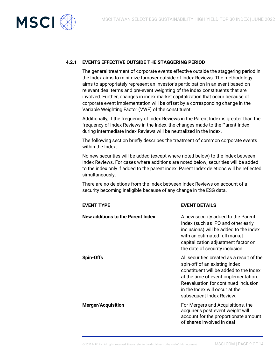

#### **4.2.1 EVENTS EFFECTIVE OUTSIDE THE STAGGERING PERIOD**

The general treatment of corporate events effective outside the staggering period in the Index aims to minimize turnover outside of Index Reviews. The methodology aims to appropriately represent an investor's participation in an event based on relevant deal terms and pre-event weighting of the index constituents that are involved. Further, changes in index market capitalization that occur because of corporate event implementation will be offset by a corresponding change in the Variable Weighting Factor (VWF) of the constituent.

Additionally, if the frequency of Index Reviews in the Parent Index is greater than the frequency of Index Reviews in the Index, the changes made to the Parent Index during intermediate Index Reviews will be neutralized in the Index.

The following section briefly describes the treatment of common corporate events within the Index.

No new securities will be added (except where noted below) to the Index between Index Reviews. For cases where additions are noted below, securities will be added to the index only if added to the parent index. Parent Index deletions will be reflected simultaneously.

There are no deletions from the Index between Index Reviews on account of a security becoming ineligible because of any change in the ESG data.

| <b>EVENT TYPE</b>                 | <b>EVENT DETAILS</b>                                                                                                                                                                                                                                               |
|-----------------------------------|--------------------------------------------------------------------------------------------------------------------------------------------------------------------------------------------------------------------------------------------------------------------|
| New additions to the Parent Index | A new security added to the Parent<br>Index (such as IPO and other early<br>inclusions) will be added to the index<br>with an estimated full market<br>capitalization adjustment factor on<br>the date of security inclusion.                                      |
| <b>Spin-Offs</b>                  | All securities created as a result of the<br>spin-off of an existing Index<br>constituent will be added to the Index<br>at the time of event implementation.<br>Reevaluation for continued inclusion<br>in the Index will occur at the<br>subsequent Index Review. |
| <b>Merger/Acquisition</b>         | For Mergers and Acquisitions, the<br>acquirer's post event weight will<br>account for the proportionate amount<br>of shares involved in deal                                                                                                                       |

#### © 2022 MSCI Inc. All rights reserved. Please refer to the disclaimer at the end of this document. MSCI.COM | PAGE 9 OF 14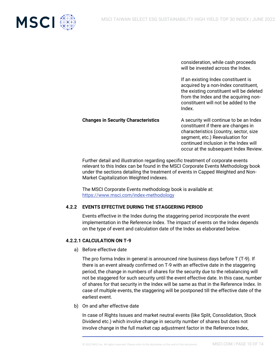

consideration, while cash proceeds will be invested across the Index.

If an existing Index constituent is acquired by a non-Index constituent, the existing constituent will be deleted from the Index and the acquiring nonconstituent will not be added to the Index.

**Changes in Security Characteristics** A security will continue to be an Index constituent if there are changes in characteristics (country, sector, size segment, etc.) Reevaluation for continued inclusion in the Index will occur at the subsequent Index Review.

Further detail and illustration regarding specific treatment of corporate events relevant to this Index can be found in the MSCI Corporate Events Methodology book under the sections detailing the treatment of events in Capped Weighted and Non-Market Capitalization Weighted indexes.

The MSCI Corporate Events methodology book is available at: <https://www.msci.com/index-methodology>

#### **4.2.2 EVENTS EFFECTIVE DURING THE STAGGERING PERIOD**

Events effective in the Index during the staggering period incorporate the event implementation in the Reference Index. The impact of events on the Index depends on the type of event and calculation date of the Index as elaborated below.

#### **4.2.2.1 CALCULATION ON T-9**

a) Before effective date

The pro forma Index in general is announced nine business days before T (T-9). If there is an event already confirmed on T-9 with an effective date in the staggering period, the change in numbers of shares for the security due to the rebalancing will not be staggered for such security until the event effective date. In this case, number of shares for that security in the Index will be same as that in the Reference Index. In case of multiple events, the staggering will be postponed till the effective date of the earliest event.

b) On and after effective date

In case of Rights Issues and market neutral events (like Split, Consolidation, Stock Dividend etc.) which involve change in security number of shares but does not involve change in the full market cap adjustment factor in the Reference Index,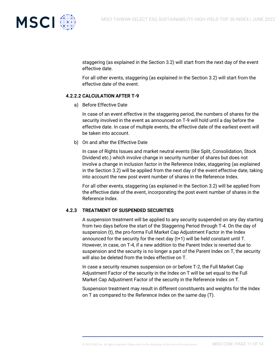

staggering (as explained in the Section 3.2) will start from the next day of the event effective date.

For all other events, staggering (as explained in the Section 3.2) will start from the effective date of the event.

#### **4.2.2.2 CALCULATION AFTER T-9**

a) Before Effective Date

In case of an event effective in the staggering period, the numbers of shares for the security involved in the event as announced on T-9 will hold until a day before the effective date. In case of multiple events, the effective date of the earliest event will be taken into account.

b) On and after the Effective Date

In case of Rights Issues and market neutral events (like Split, Consolidation, Stock Dividend etc.) which involve change in security number of shares but does not involve a change in inclusion factor in the Reference Index, staggering (as explained in the Section 3.2) will be applied from the next day of the event effective date, taking into account the new post event number of shares in the Reference Index.

For all other events, staggering (as explained in the Section 3.2) will be applied from the effective date of the event, incorporating the post event number of shares in the Reference Index.

#### **4.2.3 TREATMENT OF SUSPENDED SECURITIES**

A suspension treatment will be applied to any security suspended on any day starting from two days before the start of the Staggering Period through T-4. On the day of suspension (t), the pro-forma Full Market Cap Adjustment Factor in the Index announced for the security for the next day (t+1) will be held constant until T. However, in case, on T-4, if a new addition to the Parent Index is reverted due to suspension and the security is no longer a part of the Parent Index on T, the security will also be deleted from the Index effective on T.

In case a security resumes suspension on or before T-2, the Full Market Cap Adjustment Factor of the security in the Index on T will be set equal to the Full Market Cap Adjustment Factor of the security in the Reference Index on T.

Suspension treatment may result in different constituents and weights for the Index on T as compared to the Reference Index on the same day (T).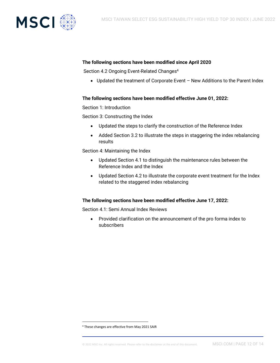

#### **The following sections have been modified since April 2020**

Section 4.2 Ongoing Event-Related Changes<sup>4</sup>

• Updated the treatment of Corporate Event – New Additions to the Parent Index

#### **The following sections have been modified effective June 01, 2022:**

Section 1: Introduction

Section 3: Constructing the Index

- Updated the steps to clarify the construction of the Reference Index
- Added Section 3.2 to illustrate the steps in staggering the index rebalancing results

Section 4: Maintaining the Index

- Updated Section 4.1 to distinguish the maintenance rules between the Reference Index and the Index
- Updated Section 4.2 to illustrate the corporate event treatment for the Index related to the staggered index rebalancing

#### **The following sections have been modified effective June 17, 2022:**

Section 4.1: Semi Annual Index Reviews

• Provided clarification on the announcement of the pro forma index to subscribers

<sup>4</sup> These changes are effective from May 2021 SAIR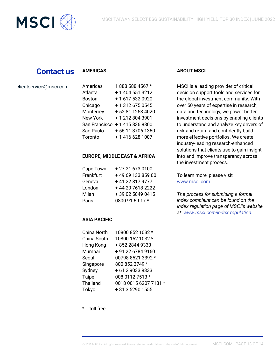

## **Contact us**

#### **AMERICAS**

#### clientservice@msci.com

| Americas        | 1888 588 4567 *  |
|-----------------|------------------|
| Atlanta         | + 1 404 551 3212 |
| <b>Boston</b>   | +1 617 532 0920  |
| Chicago         | + 1 312 675 0545 |
| Monterrey       | +52 81 1253 4020 |
| <b>New York</b> | +12128043901     |
| San Francisco   | +14158368800     |
| São Paulo       | +55 11 3706 1360 |
| Toronto         | +1 416 628 1007  |
|                 |                  |

#### **EUROPE, MIDDLE EAST & AFRICA**

| Cape Town | +27 21 673 0100   |
|-----------|-------------------|
| Frankfurt | +49 69 133 859 00 |
| Geneva    | +41 22 817 9777   |
| London    | +44 20 7618 2222  |
| Milan     | +39 02 5849 0415  |
| Paris     | 0800 91 59 17 *   |

#### **ASIA PACIFIC**

| China North | 10800 852 1032 *      |
|-------------|-----------------------|
| China South | 10800 152 1032 *      |
| Hong Kong   | +852 2844 9333        |
| Mumbai      | +91 22 6784 9160      |
| Seoul       | 00798 8521 3392 *     |
| Singapore   | 800 852 3749 *        |
| Sydney      | + 61 2 9033 9333      |
| Taipei      | 008 0112 7513 *       |
| Thailand    | 0018 0015 6207 7181 * |
| Tokyo       | + 81 3 5290 1555      |

#### **ABOUT MSCI**

MSCI is a leading provider of critical decision support tools and services for the global investment community. With over 50 years of expertise in research, data and technology, we power better investment decisions by enabling clients to understand and analyze key drivers of risk and return and confidently build more effective portfolios. We create industry-leading research-enhanced solutions that clients use to gain insight into and improve transparency across the investment process.

To learn more, please visit [www.msci.com.](http://www.msci.com/)

*The process for submitting a formal index complaint can be found on the index regulation page of MSCI's website at: [www.msci.com/index-regulation.](https://www.msci.com/index-regulation)*

 $* =$  toll free